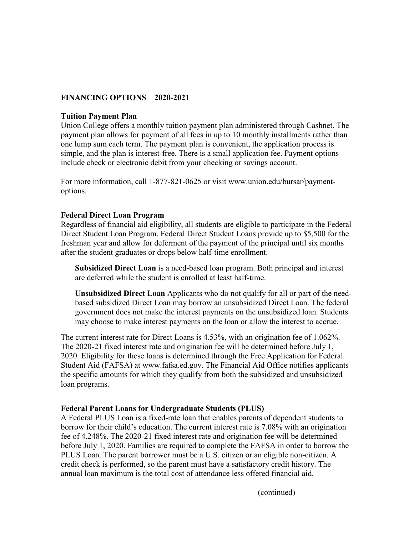# **FINANCING OPTIONS 2020-2021**

### **Tuition Payment Plan**

Union College offers a monthly tuition payment plan administered through Cashnet. The payment plan allows for payment of all fees in up to 10 monthly installments rather than one lump sum each term. The payment plan is convenient, the application process is simple, and the plan is interest-free. There is a small application fee. Payment options include check or electronic debit from your checking or savings account.

For more information, call 1-877-821-0625 or visit www.union.edu/bursar/paymentoptions.

# **Federal Direct Loan Program**

Regardless of financial aid eligibility, all students are eligible to participate in the Federal Direct Student Loan Program. Federal Direct Student Loans provide up to \$5,500 for the freshman year and allow for deferment of the payment of the principal until six months after the student graduates or drops below half-time enrollment.

**Subsidized Direct Loan** is a need-based loan program. Both principal and interest are deferred while the student is enrolled at least half-time.

**Unsubsidized Direct Loan** Applicants who do not qualify for all or part of the needbased subsidized Direct Loan may borrow an unsubsidized Direct Loan. The federal government does not make the interest payments on the unsubsidized loan. Students may choose to make interest payments on the loan or allow the interest to accrue.

The current interest rate for Direct Loans is 4.53%, with an origination fee of 1.062%. The 2020-21 fixed interest rate and origination fee will be determined before July 1, 2020. Eligibility for these loans is determined through the Free Application for Federal Student Aid (FAFSA) at [www.fafsa.ed.gov.](http://www.fafsa.ed.gov/) The Financial Aid Office notifies applicants the specific amounts for which they qualify from both the subsidized and unsubsidized loan programs.

# **Federal Parent Loans for Undergraduate Students (PLUS)**

A Federal PLUS Loan is a fixed-rate loan that enables parents of dependent students to borrow for their child's education. The current interest rate is 7.08% with an origination fee of 4.248%. The 2020-21 fixed interest rate and origination fee will be determined before July 1, 2020. Families are required to complete the FAFSA in order to borrow the PLUS Loan. The parent borrower must be a U.S. citizen or an eligible non-citizen. A credit check is performed, so the parent must have a satisfactory credit history. The annual loan maximum is the total cost of attendance less offered financial aid.

(continued)